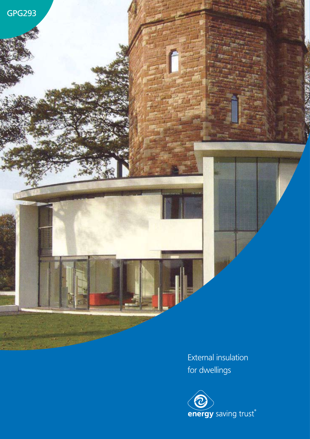

External insulation for dwellings

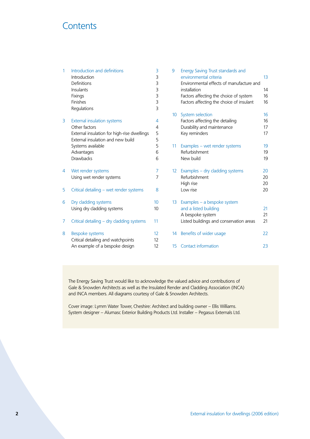## **Contents**

| $\mathbf{1}$ | Introduction and definitions<br>Introduction<br>Definitions<br>Insulants | 3<br>3<br>3<br>3 | 9                | Energy Saving Trust standards and<br>environmental criteria<br>Environmental effects of manufacture and<br>installation | 13<br>14 |
|--------------|--------------------------------------------------------------------------|------------------|------------------|-------------------------------------------------------------------------------------------------------------------------|----------|
|              | Fixings                                                                  | 3                |                  | Factors affecting the choice of system                                                                                  | 16       |
|              | Finishes                                                                 | 3                |                  | Factors affecting the choice of insulant                                                                                | 16       |
|              | Regulations                                                              | 3                |                  |                                                                                                                         |          |
|              |                                                                          |                  |                  |                                                                                                                         | 16       |
|              |                                                                          |                  |                  | 10 System selection                                                                                                     |          |
| 3            | External insulation systems                                              | 4                |                  | Factors affecting the detailing                                                                                         | 16       |
|              | Other factors                                                            | 4                |                  | Durability and maintenance                                                                                              | 17       |
|              | External insulation for high-rise dwellings                              | 5                |                  | Key reminders                                                                                                           | 17       |
|              | External insulation and new build                                        | 5                |                  |                                                                                                                         |          |
|              | Systems available                                                        | 5                | 11               | Examples - wet render systems                                                                                           | 19       |
|              | Advantages                                                               | 6                |                  | Refurbishment                                                                                                           | 19       |
|              | <b>Drawbacks</b>                                                         | 6                |                  | New build                                                                                                               | 19       |
| 4            | Wet render systems                                                       | 7                | 12 <sup>°</sup>  | Examples - dry cladding systems                                                                                         | 20       |
|              | Using wet render systems                                                 | 7                |                  | Refurbishment                                                                                                           | 20       |
|              |                                                                          |                  |                  | High rise                                                                                                               | 20       |
| 5            | Critical detailing - wet render systems                                  | 8                |                  | Low rise                                                                                                                | 20       |
| 6            | Dry cladding systems                                                     | 10               | 13 <sup>13</sup> | Examples - a bespoke system                                                                                             |          |
|              | Using dry cladding systems                                               | 10               |                  | and a listed building<br>A bespoke system                                                                               | 21<br>21 |
| 7            | Critical detailing - dry cladding systems                                | 11               |                  | Listed buildings and conservation areas                                                                                 | 21       |
| 8            | Bespoke systems                                                          | 12               |                  | 14 Benefits of wider usage                                                                                              | 22       |
|              | Critical detailing and watchpoints                                       | 12               |                  |                                                                                                                         |          |
|              | An example of a bespoke design                                           | 12               |                  | 15 Contact information                                                                                                  | 23       |

The Energy Saving Trust would like to acknowledge the valued advice and contributions of Gale & Snowden Architects as well as the Insulated Render and Cladding Association (INCA) and INCA members. All diagrams courtesy of Gale & Snowden Architects.

Cover image: Lymm Water Tower, Cheshire: Architect and building owner – Ellis Williams. System designer – Alumasc Exterior Building Products Ltd. Installer – Pegasus Externals Ltd.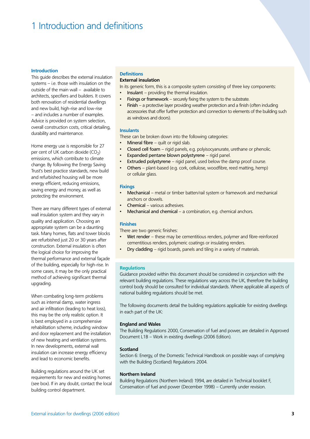# 1 Introduction and definitions

#### **Introduction**

This guide describes the external insulation systems – i.e. those with insulation on the outside of the main wall – available to architects, specifiers and builders. It covers both renovation of residential dwellings and new build, high-rise and low-rise – and includes a number of examples. Advice is provided on system selection, overall construction costs, critical detailing, durability and maintenance.

Home energy use is responsible for 27 per cent of UK carbon dioxide  $(CO<sub>2</sub>)$ emissions, which contribute to climate change. By following the Energy Saving Trust's best practice standards, new build and refurbished housing will be more energy efficient, reducing emissions, saving energy and money, as well as protecting the environment.

There are many different types of external wall insulation system and they vary in quality and application. Choosing an appropriate system can be a daunting task. Many homes, flats and tower blocks are refurbished just 20 or 30 years after construction. External insulation is often the logical choice for improving the thermal performance and external façade of the building, especially for high-rise. In some cases, it may be the only practical method of achieving significant thermal upgrading.

When combating long-term problems such as internal damp, water ingress and air infiltration (leading to heat loss), this may be the only realistic option. It is best employed in a comprehensive rehabilitation scheme, including window and door replacement and the installation of new heating and ventilation systems. In new developments, external wall insulation can increase energy efficiency and lead to economic benefits.

Building regulations around the UK set requirements for new and existing homes (see box). If in any doubt, contact the local building control department.

## **Definitions**

## **External insulation**

In its generic form, this is a composite system consisting of three key components:

- Insulant providing the thermal insulation. •
- Fixings or framework securely fixing the system to the substrate. •
- Finish a protective layer providing weather protection and a finish (often including accessories that offer further protection and connection to elements of the building such as windows and doors). •

#### **Insulants**

These can be broken down into the following categories:

- Mineral fibre quilt or rigid slab. •
- Closed cell foam rigid panels, e.g. polyisocyanurate, urethane or phenolic. •
- Expanded pentane blown polystyrene rigid panel. •
- Extruded polystyrene rigid panel, used below the damp proof course. •
- Others plant-based (e.g. cork, cellulose, woodfibre, reed matting, hemp) or cellular glass. •

#### **Fixings**

- Mechanical metal or timber batten/rail system or framework and mechanical anchors or dowels. •
- Chemical various adhesives. •
- Mechanical and chemical a combination, e.g. chemical anchors. •

#### **Finishes**

There are two generic finishes:

- Wet render these may be cementitious renders, polymer and fibre-reinforced cementitious renders, polymeric coatings or insulating renders. •
- Dry cladding rigid boards, panels and tiling in a variety of materials. •

#### **Regulations**

Guidance provided within this document should be considered in conjunction with the relevant building regulations. These regulations vary across the UK, therefore the building control body should be consulted for individual standards. Where applicable all aspects of national building regulations should be met.

The following documents detail the building regulations applicable for existing dwellings in each part of the UK:

#### **England and Wales**

The Building Regulations 2000, Conservation of fuel and power, are detailed in Approved Document L1B – Work in existing dwellings (2006 Edition).

#### **Scotland**

Section 6: Energy, of the Domestic Technical Handbook on possible ways of complying with the Building (Scotland) Regulations 2004.

#### **Northern Ireland**

Building Regulations (Northern Ireland) 1994, are detailed in Technical booklet F, Conservation of fuel and power (December 1998) – Currently under revision.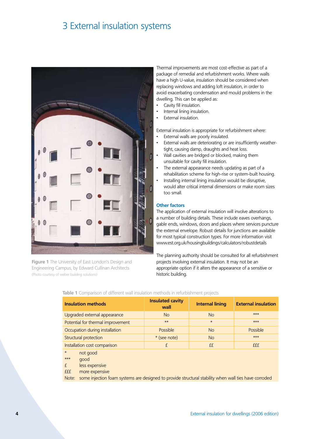## 3 External insulation systems



**Figure 1** The University of East London's Design and Engineering Campus, by Edward Cullinan Architects (Photo courtesy of weber building solutions)

Thermal improvements are most cost-effective as part of a package of remedial and refurbishment works. Where walls have a high U-value, insulation should be considered when replacing windows and adding loft insulation, in order to avoid exacerbating condensation and mould problems in the dwelling. This can be applied as:

- Cavity fill insulation.
- Internal lining insulation. •
- External insulation. •

•

External insulation is appropriate for refurbishment where:

- External walls are poorly insulated. •
- External walls are deteriorating or are insufficiently weathertight, causing damp, draughts and heat loss. •
- Wall cavities are bridged or blocked, making them unsuitable for cavity fill insulation. •
- The external appearance needs updating as part of a rehabilitation scheme for high-rise or system-built housing. •
- Installing internal lining insulation would be disruptive, would alter critical internal dimensions or make room sizes too small. •

### **Other factors**

The application of external insulation will involve alterations to a number of building details. These include eaves overhangs, gable ends, windows, doors and places where services puncture the external envelope. Robust details for junctions are available for most typical construction types. For more information visit www.est.org.uk/housingbuildings/calculators/robustdetails

The planning authority should be consulted for all refurbishment projects involving external insulation. It may not be an appropriate option if it alters the appearance of a sensitive or historic building.

| <b>Insulation methods</b>                                      | <b>Insulated cavity</b><br>wall | <b>Internal lining</b> | <b>External insulation</b> |  |  |  |
|----------------------------------------------------------------|---------------------------------|------------------------|----------------------------|--|--|--|
| Upgraded external appearance                                   | <b>No</b>                       | <b>No</b>              | $***$                      |  |  |  |
| Potential for thermal improvement                              | $**$                            | $\star$                |                            |  |  |  |
| Occupation during installation                                 | <b>Possible</b>                 | <b>No</b>              | Possible                   |  |  |  |
| Structural protection                                          | * (see note)                    | <b>No</b>              | $***$                      |  |  |  |
| Installation cost comparison                                   | f                               | ££                     | fff                        |  |  |  |
| $\star$<br>not good<br><b><i><u>Alexand</u></i></b><br>$+ + +$ |                                 |                        |                            |  |  |  |

## **Table 1** Comparison of different wall insulation methods in refurbishment projects

\*\*\* good

£ less expensive

£££ more expensive

Note: some injection foam systems are designed to provide structural stability when wall ties have corroded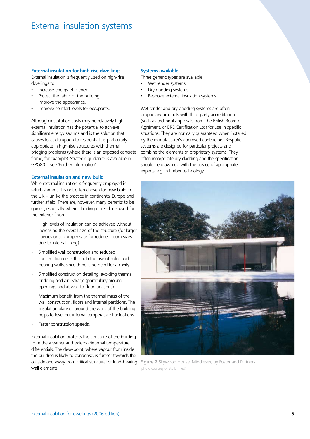## External insulation systems

## **External insulation for high-rise dwellings**

External insulation is frequently used on high-rise dwellings to:

- Increase energy efficiency. •
- Protect the fabric of the building. •
- Improve the appearance. •
- Improve comfort levels for occupants. •

Although installation costs may be relatively high, external insulation has the potential to achieve significant energy savings and is the solution that causes least disruption to residents. It is particularly appropriate in high-rise structures with thermal bridging problems (where there is an exposed concrete frame, for example). Strategic guidance is available in GPG80 – see 'Further information'.

### **External insulation and new build**

While external insulation is frequently employed in refurbishment, it is not often chosen for new build in the UK – unlike the practice in continental Europe and further afield. There are, however, many benefits to be gained, especially where cladding or render is used for the exterior finish.

- High levels of insulation can be achieved without increasing the overall size of the structure (for larger cavities or to compensate for reduced room sizes due to internal lining). •
- Simplified wall construction and reduced construction costs through the use of solid loadbearing walls, since there is no need for a cavity. •
- Simplified construction detailing, avoiding thermal bridging and air leakage (particularly around openings and at wall-to-floor junctions). •
- Maximum benefit from the thermal mass of the wall construction, floors and internal partitions. The 'insulation blanket' around the walls of the building helps to level out internal temperature fluctuations. •
- Faster construction speeds. •

External insulation protects the structure of the building from the weather and external/internal temperature differentials. The dew-point, where vapour from inside the building is likely to condense, is further towards the wall elements.

#### **Systems available**

Three generic types are available:

- Wet render systems. •
- Dry cladding systems. •
- Bespoke external insulation systems. •

Wet render and dry cladding systems are often proprietary products with third-party accreditation (such as technical approvals from The British Board of Agrément, or BRE Certification Ltd) for use in specific situations. They are normally guaranteed when installed by the manufacturer's approved contractors. Bespoke systems are designed for particular projects and combine the elements of proprietary systems. They often incorporate dry cladding and the specification should be drawn up with the advice of appropriate experts, e.g. in timber technology.



**outside and away from critical structural or load-bearing Figure 2** Skywood House, Middlesex, by Foster and Partners (photo courtesy of Sto Limited)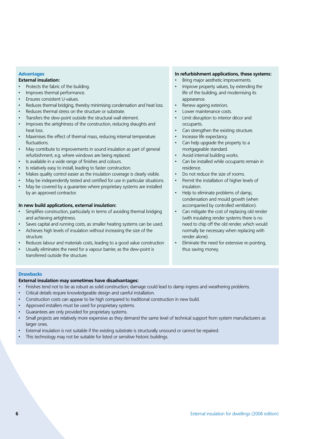## **Advantages**

## **External insulation:**

- Protects the fabric of the building. •
- Improves thermal performance. •
- Ensures consistent U-values. •
- Reduces thermal bridging, thereby minimising condensation and heat loss. •
- Reduces thermal stress on the structure or substrate. •
- Transfers the dew-point outside the structural wall element. •
- Improves the airtightness of the construction, reducing draughts and heat loss. •
- Maximises the effect of thermal mass, reducing internal temperature fluctuations. •
- May contribute to improvements in sound insulation as part of general refurbishment, e.g. where windows are being replaced. •
- Is available in a wide range of finishes and colours. •
- Is relatively easy to install, leading to faster construction. •
- Makes quality control easier as the insulation coverage is clearly visible. •
- May be independently tested and certified for use in particular situations. •
- May be covered by a guarantee where proprietary systems are installed by an approved contractor. •

## **In new build applications, external insulation:**

- Simplifies construction, particularly in terms of avoiding thermal bridging and achieving airtightness. •
- Saves capital and running costs, as smaller heating systems can be used. •
- Achieves high levels of insulation without increasing the size of the structure. •
- Reduces labour and materials costs, leading to a good value construction •
- Usually eliminates the need for a vapour barrier, as the dew-point is transferred outside the structure. •

### **In refurbishment applications, these systems:**

- Bring major aesthetic improvements. •
- Improve property values, by extending the life of the building, and modernising its appearance. •
- Renew ageing exteriors. •
- Lower maintenance costs. •
- Limit disruption to interior décor and occupants. •
- Can strengthen the existing structure. •
- Increase life expectancy. •
- Can help upgrade the property to a mortgageable standard. •
- Avoid internal building works. •
- Can be installed while occupants remain in residence. •
- Do not reduce the size of rooms. •
- Permit the installation of higher levels of insulation. •
- Help to eliminate problems of damp, condensation and mould growth (when accompanied by controlled ventilation). •
- Can mitigate the cost of replacing old render (with insulating render systems there is no need to chip off the old render, which would normally be necessary when replacing with render alone). •
- Eliminate the need for extensive re-pointing, thus saving money. •

#### **Drawbacks**

## **External insulation may sometimes have disadvantages:**

- Finishes tend not to be as robust as solid construction; damage could lead to damp ingress and weathering problems. •
- Critical details require knowledgeable design and careful installation. •
- Construction costs can appear to be high compared to traditional construction in new build. •
- Approved installers must be used for proprietary systems. •
- Guarantees are only provided for proprietary systems. •
- Small projects are relatively more expensive as they demand the same level of technical support from system manufacturers as larger ones. •
- External insulation is not suitable if the existing substrate is structurally unsound or cannot be repaired. •
- This technology may not be suitable for listed or sensitive historic buildings. •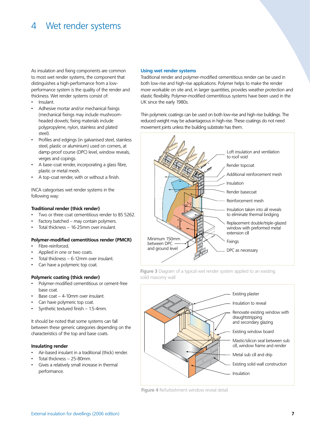## 4 Wet render systems

As insulation and fixing components are common to most wet render systems, the component that distinguishes a high-performance from a lowperformance system is the quality of the render and thickness. Wet render systems consist of:

- Insulant. •
- Adhesive mortar and/or mechanical fixings (mechanical fixings may include mushroomheaded dowels; fixing materials include polypropylene, nylon, stainless and plated steel). •
- Profiles and edgings (in galvanised steel, stainless steel, plastic or aluminium) used on corners, at damp-proof course (DPC) level, window reveals, verges and copings. •
- A base-coat render, incorporating a glass fibre, plastic or metal mesh. •
- A top-coat render, with or without a finish. •

INCA categorises wet render systems in the following way:

## **Traditional render (thick render)**

- Two or three coat cementitious render to BS 5262. •
- Factory batched may contain polymers. •
- Total thickness 16-25mm over insulant. •

## **Polymer-modified cementitious render (PMCR)**

- Fibre-reinforced. •
- Applied in one or two coats. •
- Total thickness 6-12mm over insulant. •
- Can have a polymeric top coat. •

## **Polymeric coating (thick render)**

- Polymer-modified cementitious or cement-free base coat. •
- Base coat 4-10mm over insulant. •
- Can have polymeric top coat. •
- Synthetic textured finish 1.5-4mm. •

It should be noted that some systems can fall between these generic categories depending on the characteristics of the top and base coats.

#### **Insulating render**

- Air-based insulant in a traditional (thick) render. •
- Total thickness 25-80mm. •
- Gives a relatively small increase in thermal performance. •

#### **Using wet render systems**

Traditional render and polymer-modified cementitious render can be used in both low-rise and high-rise applications. Polymer helps to make the render more workable on site and, in larger quantities, provides weather protection and elastic flexibility. Polymer-modified cementitious systems have been used in the UK since the early 1980s.

Thin polymeric coatings can be used on both low-rise and high-rise buildings. The reduced weight may be advantageous in high-rise. These coatings do not need movement joints unless the building substrate has them.



**Figure 3** Diagram of a typical wet render system applied to an existing solid masonry wall



**Figure 4** Refurbishment window reveal detail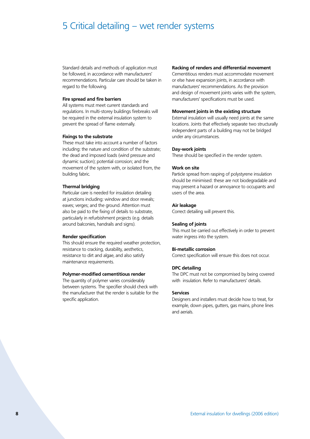## 5 Critical detailing – wet render systems

Standard details and methods of application must be followed, in accordance with manufacturers' recommendations. Particular care should be taken in regard to the following.

### **Fire spread and fire barriers**

All systems must meet current standards and regulations. In multi-storey buildings firebreaks will be required in the external insulation system to prevent the spread of flame externally.

## **Fixings to the substrate**

These must take into account a number of factors including: the nature and condition of the substrate; the dead and imposed loads (wind pressure and dynamic suction); potential corrosion; and the movement of the system with, or isolated from, the building fabric.

#### **Thermal bridging**

Particular care is needed for insulation detailing at junctions including: window and door reveals; eaves; verges; and the ground. Attention must also be paid to the fixing of details to substrate, particularly in refurbishment projects (e.g. details around balconies, handrails and signs).

#### **Render specification**

This should ensure the required weather protection, resistance to cracking, durability, aesthetics, resistance to dirt and algae, and also satisfy maintenance requirements.

#### **Polymer-modified cementitious render**

The quantity of polymer varies considerably between systems. The specifier should check with the manufacturer that the render is suitable for the specific application.

## **Racking of renders and differential movement**

Cementitious renders must accommodate movement or else have expansion joints, in accordance with manufacturers' recommendations. As the provision and design of movement joints varies with the system, manufacturers' specifications must be used.

### **Movement joints in the existing structure**

External insulation will usually need joints at the same locations. Joints that effectively separate two structurally independent parts of a building may not be bridged under any circumstances.

#### **Day-work joints**

These should be specified in the render system.

#### **Work on site**

Particle spread from rasping of polystyrene insulation should be minimised: these are not biodegradable and may present a hazard or annoyance to occupants and users of the area.

#### **Air leakage**

Correct detailing will prevent this.

#### **Sealing of joints**

This must be carried out effectively in order to prevent water ingress into the system.

### **Bi-metallic corrosion**

Correct specification will ensure this does not occur.

#### **DPC detailing**

The DPC must not be compromised by being covered with insulation. Refer to manufacturers' details.

### **Services**

Designers and installers must decide how to treat, for example, down pipes, gutters, gas mains, phone lines and aerials.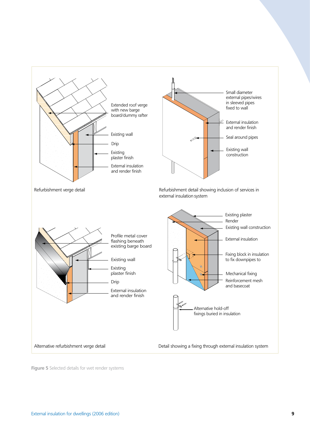

**Figure 5** Selected details for wet render systems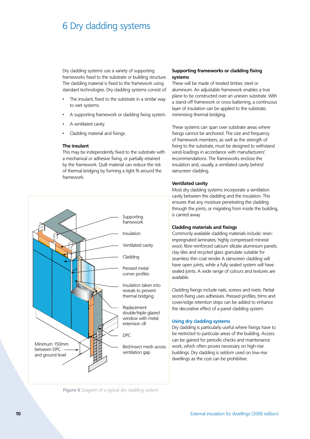# 6 Dry cladding systems

Dry cladding systems use a variety of supporting frameworks fixed to the substrate or building structure. The cladding material is fixed to the framework using standard technologies. Dry cladding systems consist of:

- The insulant, fixed to the substrate in a similar way to wet systems. •
- A supporting framework or cladding fixing system. •
- A ventilated cavity. •
- Cladding material and fixings. •

#### **The insulant**

This may be independently fixed to the substrate with a mechanical or adhesive fixing, or partially retained by the framework. Quilt material can reduce the risk of thermal bridging by forming a tight fit around the framework.



**Figure 6** Diagram of a typical dry cladding system

## **Supporting frameworks or cladding fixing systems**

These will be made of treated timber, steel or aluminium. An adjustable framework enables a true plane to be constructed over an uneven substrate. With a stand-off framework or cross-battening, a continuous layer of insulation can be applied to the substrate, minimising thermal bridging.

These systems can span over substrate areas where fixings cannot be anchored. The size and frequency of framework members, as well as the strength of fixing to the substrate, must be designed to withstand wind-loadings in accordance with manufacturers' recommendations. The frameworks enclose the insulation and, usually, a ventilated cavity behind rainscreen cladding.

## **Ventilated cavity**

Most dry cladding systems incorporate a ventilation cavity between the cladding and the insulation. This ensures that any moisture penetrating the cladding through the joints, or migrating from inside the building, is carried away.

## **Cladding materials and fixings**

Commonly available cladding materials include: resinimpregnated laminates; highly compressed mineral wool; fibre-reinforced calcium silicate aluminium panels; clay tiles and recycled glass granulate suitable for seamless thin coat render A rainscreen cladding will have open joints, while a fully sealed system will have sealed joints. A wide range of colours and textures are available.

Cladding fixings include nails, screws and rivets. Partial secret-fixing uses adhesives. Pressed profiles, trims and cover/edge retention strips can be added to enhance the decorative effect of a panel cladding system.

## **Using dry cladding systems**

Dry cladding is particularly useful where fixings have to be restricted to particular areas of the building. Access can be gained for periodic checks and maintenance work, which often proves necessary on high-rise buildings. Dry cladding is seldom used on low-rise dwellings as the cost can be prohibitive.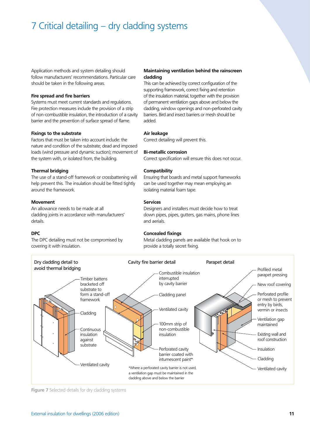# 7 Critical detailing – dry cladding systems

Application methods and system detailing should follow manufacturers' recommendations. Particular care should be taken in the following areas.

#### **Fire spread and fire barriers**

Systems must meet current standards and regulations. Fire protection measures include the provision of a strip of non-combustible insulation, the introduction of a cavity barrier and the prevention of surface spread of flame.

## **Fixings to the substrate**

Factors that must be taken into account include: the nature and condition of the substrate; dead and imposed loads (wind pressure and dynamic suction); movement of the system with, or isolated from, the building.

### **Thermal bridging**

The use of a stand-off framework or crossbattening will help prevent this. The insulation should be fitted tightly around the framework.

## **Movement**

An allowance needs to be made at all cladding joints in accordance with manufacturers' details.

#### **DPC**

The DPC detailing must not be compromised by covering it with insulation.

## **Maintaining ventilation behind the rainscreen cladding**

This can be achieved by correct configuration of the supporting framework, correct fixing and retention of the insulation material, together with the provision of permanent ventilation gaps above and below the cladding, window openings and non-perforated cavity barriers. Bird and insect barriers or mesh should be added.

## **Air leakage**

Correct detailing will prevent this.

### **Bi-metallic corrosion**

Correct specification will ensure this does not occur.

### **Compatibility**

Ensuring that boards and metal support frameworks can be used together may mean employing an isolating material foam tape.

## **Services**

Designers and installers must decide how to treat down pipes, pipes, gutters, gas mains, phone lines and aerials.

## **Concealed fixings**

Metal cladding panels are available that hook on to provide a totally secret fixing.



**Figure 7** Selected details for dry cladding systems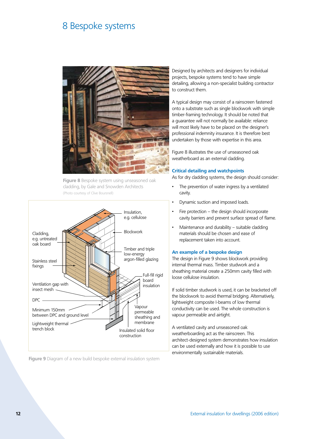## 8 Bespoke systems



**Figure 8** Bespoke system using unseasoned oak cladding, by Gale and Snowden Architects (Photo courtesy of Clive Boursnell)



**Figure 9** Diagram of a new build bespoke external insulation system

Designed by architects and designers for individual projects, bespoke systems tend to have simple detailing, allowing a non-specialist building contractor to construct them.

A typical design may consist of a rainscreen fastened onto a substrate such as single blockwork with simple timber-framing technology. It should be noted that a guarantee will not normally be available: reliance will most likely have to be placed on the designer's professional indemnity insurance. It is therefore best undertaken by those with expertise in this area.

Figure 8 illustrates the use of unseasoned oak weatherboard as an external cladding.

#### **Critical detailing and watchpoints**

As for dry cladding systems, the design should consider:

- The prevention of water ingress by a ventilated cavity. •
- Dynamic suction and imposed loads. •
- Fire protection the design should incorporate cavity barriers and prevent surface spread of flame. •
- Maintenance and durability suitable cladding materials should be chosen and ease of replacement taken into account. •

#### **An example of a bespoke design**

The design in Figure 9 shows blockwork providing internal thermal mass. Timber studwork and a sheathing material create a 250mm cavity filled with loose cellulose insulation.

If solid timber studwork is used, it can be bracketed off the blockwork to avoid thermal bridging. Alternatively, lightweight composite I-beams of low thermal conductivity can be used. The whole construction is vapour permeable and airtight.

A ventilated cavity and unseasoned oak weatherboarding act as the rainscreen. This architect-designed system demonstrates how insulation can be used externally and how it is possible to use environmentally sustainable materials.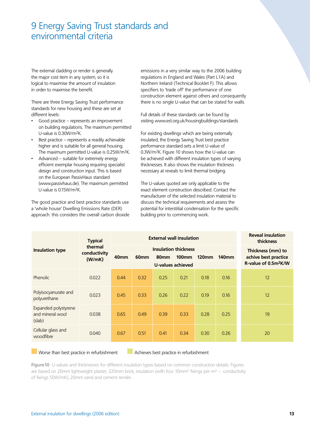## 9 Energy Saving Trust standards and environmental criteria

The external cladding or render is generally the major cost item in any system, so it is logical to maximise the amount of insulation in order to maximise the benefit.

There are three Energy Saving Trust performance standards for new housing and these are set at different levels:

- Good practice represents an improvement on building regulations. The maximum permitted U-value is 0.30W/m2K. •
- Best practice represents a readily achievable higher and is suitable for all general housing. The maximum permitted U-value is 0.25W/m2K. •
- Advanced suitable for extremely energy efficient exemplar housing requiring specialist design and construction input. This is based on the European PassivHaus standard (www.passivhaus.de). The maximum permitted U-value is 0.15W/m2K. •

The good practice and best practice standards use a 'whole house' Dwelling Emissions Rate (DER) approach: this considers the overall carbon dioxide emissions in a very similar way to the 2006 building regulations in England and Wales (Part L1A) and Northern Ireland (Technical Booklet F). This allows specifiers to 'trade off' the performance of one construction element against others and consequently there is no single U-value that can be stated for walls.

Full details of these standards can be found by visiting www.est.org.uk/housingbuildings/standards

For existing dwellings which are being externally insulated, the Energy Saving Trust best practice performance standard sets a limit U-value of 0.3W/m2K. Figure 10 shows how the U-value can be achieved with different insulation types of varying thicknesses. It also shows the insulation thickness necessary at reveals to limit thermal bridging.

The U-values quoted are only applicable to the exact element construction described. Contact the manufacturer of the selected insulation material to discuss the technical requirements and assess the potential for interstitial condensation for the specific building prior to commencing work.

|                                                    | <b>Typical</b>          |                  | <b>External wall insulation</b> | <b>Reveal insulation</b><br>thickness |          |              |              |                      |
|----------------------------------------------------|-------------------------|------------------|---------------------------------|---------------------------------------|----------|--------------|--------------|----------------------|
| <b>Insulation type</b>                             | thermal<br>conductivity |                  | <b>Insulation thickness</b>     | Thickness (mm) to                     |          |              |              |                      |
|                                                    | (W/mK)                  | 40 <sub>mm</sub> | 60 <sub>mm</sub>                | <b>80mm</b>                           | $100$ mm | <b>120mm</b> | <b>140mm</b> | achive best practice |
|                                                    |                         |                  |                                 | R-value of 0.5m <sup>2</sup> K/W      |          |              |              |                      |
| <b>Phenolic</b>                                    | 0.022                   | 0.44             | 0.32                            | 0.25                                  | 0.21     | 0.18         | 0.16         | 12                   |
| Polyisocyanurate and<br>polyurethane               | 0.023                   | 0.45             | 0.33                            | 0.26                                  | 0.22     | 0.19         | 0.16         | 12                   |
| Expanded polystyrene<br>and mineral wool<br>(slab) | 0.038                   | 0.65             | 0.49                            | 0.39                                  | 0.33     | 0.28         | 0.25         | 19                   |
| Cellular glass and<br>woodfibre                    | 0.040                   | 0.67             | 0.51                            | 0.41                                  | 0.34     | 0.30         | 0.26         | 20                   |

Worse than best practice in refurbishment Achieves best practice in refurbishment

**Figure10** U-values and thicknesses for different insulation types based on common construction details. Figures are based on 20mm lightweight plaster, 220mm brick, insulation (with four 10mm<sup>2</sup> fixings per m<sup>2</sup> – conductivity of fixings 50W/mK), 20mm sand and cement render.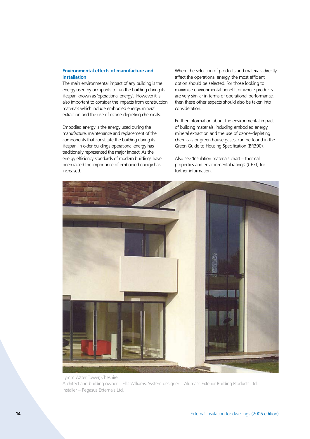## **Environmental effects of manufacture and installation**

The main environmental impact of any building is the energy used by occupants to run the building during its lifespan known as 'operational energy'. However it is also important to consider the impacts from construction materials which include embodied energy, mineral extraction and the use of ozone-depleting chemicals.

Embodied energy is the energy used during the manufacture, maintenance and replacement of the components that constitute the building during its lifespan. In older buildings operational energy has traditionally represented the major impact. As the energy efficiency standards of modern buildings have been raised the importance of embodied energy has increased.

Where the selection of products and materials directly affect the operational energy, the most efficient option should be selected. For those looking to maximise environmental benefit, or where products are very similar in terms of operational performance, then these other aspects should also be taken into consideration.

Further information about the environmental impact of building materials, including embodied energy, mineral extraction and the use of ozone-depleting chemicals or green house gases, can be found in the Green Guide to Housing Specification (BR390).

Also see 'Insulation materials chart – thermal properties and environmental ratings' (CE71) for further information.



Architect and building owner – Ellis Williams. System designer – Alumasc Exterior Building Products Ltd. Installer – Pegasus Externals Ltd.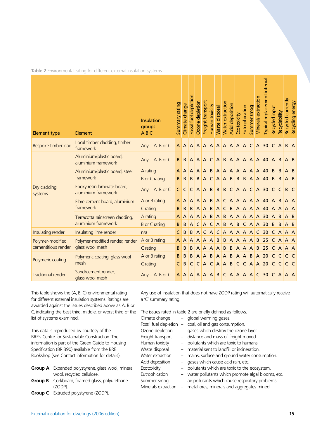|  | <b>Table 2</b> Environmental rating for different external insulation systems |  |  |  |
|--|-------------------------------------------------------------------------------|--|--|--|
|  |                                                                               |  |  |  |

| <b>Element type</b>                    | Element                                            | <b>Insulation</b><br>groups<br>ABC | ummary rating | Climate change | Fossil fuel depletion | Ozone depletion | Freight transport | Human toxicity  | Naste disposal  | Nater extraction | <b>Acid deposition</b>          | Ecotoxicity     | Eutrophication | Summer smog | <b>Minerals extraction</b> | Typical replacement interval                       | Recycled input | Recyclability | Recycled currently | energy<br>Recycling |
|----------------------------------------|----------------------------------------------------|------------------------------------|---------------|----------------|-----------------------|-----------------|-------------------|-----------------|-----------------|------------------|---------------------------------|-----------------|----------------|-------------|----------------------------|----------------------------------------------------|----------------|---------------|--------------------|---------------------|
| Bespoke timber clad                    | Local timber cladding, timber<br>framework         | $Any - A B or C$                   |               |                |                       |                 |                   |                 |                 |                  |                                 |                 |                |             |                            | AAAAAAAAAAAAACA30                                  | C A            |               | B                  |                     |
|                                        | Aluminium/plastic board,<br>aluminium framework    | $Any - A B or C$                   | $B \mid B$    |                |                       |                 |                   | AAACAB          |                 |                  |                                 |                 |                |             |                            | $A A A A A 40$                                     | $\mathsf{A}$   | B             | $\mathsf{A}$       | l B                 |
|                                        | Aluminium/plastic board, steel                     | A rating                           | A             |                |                       | $A$ $A$ $A$ $B$ |                   |                 |                 |                  | $A$ $A$ $A$ $A$ $A$ $A$ $A$ $A$ |                 |                |             |                            | 40                                                 | B              | B             | A                  | B                   |
|                                        | framework                                          | <b>B</b> or C rating               | B.            | $\overline{B}$ | $\mathsf{B}$          | $\mathsf{B}$    | A                 |                 | $C$ $A$ $A$ $B$ |                  |                                 | $B \mid B$      |                |             | A A                        | 40                                                 | B              | B             | $\overline{A}$     | $\mathsf{B}$        |
| Dry cladding<br>systems                | Epoxy resin laminate board,<br>aluminium framework | $Any - A B or C$                   | $\mathsf{C}$  | $\mathsf{C}$   |                       | $C$ $A$ $A$ $B$ |                   |                 |                 |                  |                                 |                 |                |             |                            | $B$ $B$ $C$ $A$ $A$ $C$ $A$ 30                     | $\mathsf{C}$   | C             | B                  | C                   |
|                                        | Fibre cement board, aluminium                      | A or B rating                      | A             | A              | A                     | $A$ $A$ $B$     |                   |                 | $\overline{A}$  | $\mathsf{C}$     | $A$ $A$ $A$ $A$ $A$             |                 |                |             |                            | 40                                                 | $A \mid B$     |               |                    |                     |
|                                        | framework                                          | C rating                           | B             | B              | B                     | $A \mid A$      |                   | B               | A               | C                | B                               | $A$ $A$ $A$ $A$ |                |             |                            | 40                                                 | $\mathsf{A}$   | A             |                    |                     |
|                                        | Terracotta rainscreen cladding,                    | A rating                           | A             | A              | A                     | $A$ $A$         |                   | B               | $\mathsf{A}$    | B                | $A$ $A$ $A$ $A$ $A$             |                 |                |             |                            | 30                                                 | A              | B             |                    | B                   |
|                                        | aluminium framework                                | <b>B</b> or C rating               | B             | B              | A                     |                 | C A               |                 | $C$ $A$ $B$     |                  | AB                              |                 |                |             | C A A                      | 30                                                 | B              | B             | $A \mid B$         |                     |
| Insulating render                      | Insulating lime render                             | n/a                                | C             | B              | B                     | $\mathsf{A}$    | C.                | A               | C               |                  | $A$ $A$ $A$ $A$ $A$ $I$         |                 |                |             | $\mathsf{C}$               | 30                                                 | <sub>C</sub>   | <b>A</b>      | A                  | l A                 |
| Polymer-modified                       | A or B rating<br>Polymer-modified render, render   |                                    | A             | A              | $\overline{A}$        | $\mathsf{A}$    | A                 | A               | $\overline{B}$  | B                | $A \mid A$                      |                 | A              |             | $\vert$ B                  | 25                                                 | $\mathsf{C}$   | $\mathsf{A}$  | $A \overline{A}$   |                     |
| cementitious render<br>glass wool mesh |                                                    | C rating                           | B             | B              | B                     |                 |                   | $A$ $A$ $A$ $B$ |                 |                  | $\vert$ B                       | $A$ $A$ $B$     |                |             |                            | 25                                                 | $\mathsf{C}$   | $\mathsf{A}$  | A                  | l A                 |
|                                        | Polymeric coating, glass wool                      | A or B rating                      | B             | B              | B                     |                 | $A$ $A$ $B$       |                 | $A \mid A$      |                  | <b>B</b>                        | $A$ $A$ $B$     |                |             | A                          | 20                                                 | $\mathsf{C}$   | C             | C                  |                     |
| Polymeric coating                      | mesh                                               | C rating                           | C             | B              | C                     |                 |                   |                 |                 |                  |                                 |                 |                |             |                            | $C   A   C   A   A   B   C   C   A   A   20$       | C C            |               | C C                |                     |
| <b>Traditional render</b>              | Sand/cement render,<br>glass wool mesh             | $Any - A B or C$                   |               |                |                       |                 |                   |                 |                 |                  |                                 |                 |                |             |                            | $A$ $A$ $A$ $A$ $A$ $A$ $B$ $C$ $A$ $A$ $A$ $C$ 30 |                |               | $C$ $A$ $A$ $A$    |                     |

This table shows the (A, B, C) environmental rating for different external insulation systems. Ratings are awarded against the issues described above as A, B or C, indicating the best third, middle, or worst third of the list of systems examined.

This data is reproduced by courtesy of the BRE's Centre for Sustainable Construction. The information is part of the Green Guide to Housing Specification (BR 390) available from the BRE Bookshop (see Contact information for details).

- **Group A** Expanded polystyrene, glass wool, mineral wool, recycled cellulose. **Group B** Corkboard, foamed glass, polyurethane
- (ZODP).
- **Group C** Extruded polystyrene (ZODP).

Any use of insulation that does not have ZODP rating will automatically receive a 'C' summary rating.

| ρ |                       |                          | The issues rated in table 2 are briefly defined as follows. |
|---|-----------------------|--------------------------|-------------------------------------------------------------|
|   | Climate change        |                          | global warming gases.                                       |
|   | Fossil fuel depletion | $\qquad \qquad -$        | coal, oil and gas consumption.                              |
|   | Ozone depletion       |                          | gases which destroy the ozone layer.                        |
|   | Freight transport     |                          | distance and mass of freight moved.                         |
|   | Human toxicity        |                          | pollutants which are toxic to humans.                       |
|   | Waste disposal        |                          | material sent to landfill or incineration.                  |
|   | Water extraction      | $\overline{\phantom{0}}$ | mains, surface and ground water consumption.                |
|   | Acid deposition       |                          | gases which cause acid rain, etc.                           |
|   | Ecotoxicity           |                          | pollutants which are toxic to the ecosystem.                |
|   | Eutrophication        | $-$                      | water pollutants which promote algal blooms, etc.           |
|   | Summer smog           |                          | - air pollutants which cause respiratory problems.          |
|   | Minerals extraction   |                          | metal ores, minerals and aggregates mined.                  |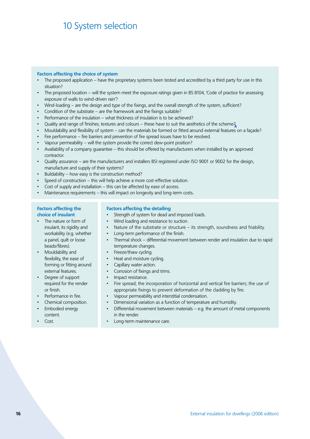# 10 System selection

## **Factors affecting the choice of system**

- The proposed application have the proprietary systems been tested and accredited by a third party for use in this situation?
- The proposed location will the system meet the exposure ratings given in BS 8104, 'Code of practice for assessing exposure of walls to wind-driven rain'?
- Wind-loading are the design and type of the fixings, and the overall strength of the system, sufficient?
- Condition of the substrate are the framework and the fixings suitable? •
- Performance of the insulation what thickness of insulation is to be achieved?
- Quality and range of finishes, textures and colours these have to suit the aesthetics of the scheme?
- Mouldability and flexibility of system can the materials be formed or fitted around external features on a façade?
- Fire performance fire barriers and prevention of fire spread issues have to be resolved.
- Vapour permeability will the system provide the correct dew-point position? •
- Availability of a company guarantee this should be offered by manufacturers when installed by an approved contractor.
- Quality assurance are the manufacturers and installers BSI registered under ISO 9001 or 9002 for the design, manufacture and supply of their systems?
- Buildability how easy is the construction method?
- Speed of construction this will help achieve a more cost-effective solution.
- Cost of supply and installation this can be affected by ease of access. •
- Maintenance requirements this will impact on longevity and long-term costs.

#### **Factors affecting the choice of insulant**

- The nature or form of insulant, its rigidity and workability (e.g. whether a panel, quilt or loose beads/fibres). •
- Mouldability and flexibility, the ease of forming or fitting around external features.
- Degree of support required for the render or finish.
- Performance in fire.
- Chemical composition.
- Embodied energy content.
- Cost. •

## **Factors affecting the detailing**

- Strength of system for dead and imposed loads.
- Wind loading and resistance to suction.
- Nature of the substrate or structure its strength, soundness and friability.
- Long-term performance of the finish.
- Thermal shock differential movement between render and insulation due to rapid temperature changes.
- Freeze/thaw cycling.
- Heat and moisture cycling.
- Capillary water action.
- Corrosion of fixings and trims.
- Impact resistance.
- Fire spread; the incorporation of horizontal and vertical fire barriers; the use of appropriate fixings to prevent deformation of the cladding by fire.
- Vapour permeability and interstitial condensation. •
- Dimensional variation as a function of temperature and humidity. •
- Differential movement between materials e.g. the amount of metal components in the render. •
	- Long-term maintenance care.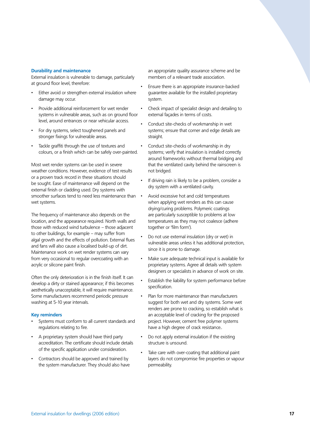#### **Durability and maintenance**

External insulation is vulnerable to damage, particularly at ground floor level, therefore:

- Either avoid or strengthen external insulation where damage may occur. •
- Provide additional reinforcement for wet render systems in vulnerable areas, such as on ground floor level, around entrances or near vehicular access. •
- For dry systems, select toughened panels and stronger fixings for vulnerable areas. •
- Tackle graffiti through the use of textures and colours, or a finish which can be safely over-painted. •

Most wet render systems can be used in severe weather conditions. However, evidence of test results or a proven track record in these situations should be sought. Ease of maintenance will depend on the external finish or cladding used. Dry systems with smoother surfaces tend to need less maintenance than wet systems.

The frequency of maintenance also depends on the location, and the appearance required. North walls and those with reduced wind turbulence – those adjacent to other buildings, for example – may suffer from algal growth and the effects of pollution. External flues and fans will also cause a localised build-up of dirt. Maintenance work on wet render systems can vary from very occasional to regular overcoating with an acrylic or silicone paint finish.

Often the only deterioration is in the finish itself. It can develop a dirty or stained appearance; if this becomes aesthetically unacceptable, it will require maintenance. Some manufacturers recommend periodic pressure washing at 5-10 year intervals.

## **Key reminders**

- Systems must conform to all current standards and regulations relating to fire. •
- A proprietary system should have third party accreditation. The certificate should include details of the specific application under consideration. •
- Contractors should be approved and trained by the system manufacturer. They should also have •

an appropriate quality assurance scheme and be members of a relevant trade association.

- Ensure there is an appropriate insurance-backed guarantee available for the installed proprietary system. •
	- Check impact of specialist design and detailing to external façades in terms of costs.

•

•

•

•

•

- Conduct site-checks of workmanship in wet systems; ensure that corner and edge details are straight.
- Conduct site-checks of workmanship in dry systems; verify that insulation is installed correctly around frameworks without thermal bridging and that the ventilated cavity behind the rainscreen is not bridged. •
- If driving rain is likely to be a problem, consider a dry system with a ventilated cavity.
- Avoid excessive hot and cold temperatures when applying wet renders as this can cause drying/curing problems. Polymeric coatings are particularly susceptible to problems at low temperatures as they may not coalesce (adhere together or 'film form').
- Do not use external insulation (dry or wet) in vulnerable areas unless it has additional protection, since it is prone to damage.
- Make sure adequate technical input is available for proprietary systems. Agree all details with system designers or specialists in advance of work on site. •
- Establish the liability for system performance before specification. •
- Plan for more maintenance than manufacturers suggest for both wet and dry systems. Some wet renders are prone to cracking, so establish what is an acceptable level of cracking for the proposed project. However, cement free polymer systems have a high degree of crack resistance.. •
- Do not apply external insulation if the existing structure is unsound. •
- Take care with over-coating that additional paint layers do not compromise fire properties or vapour permeability. •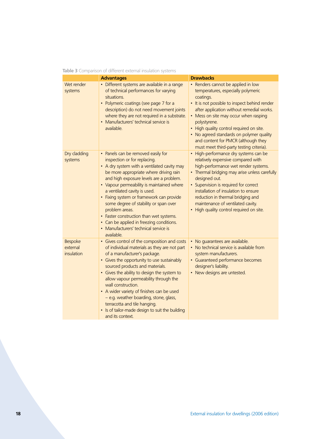|                                          | Table 3 Comparison of different external insulation systems                                                                                                                                                                                                                                                                                                                                                                                                                                                                              |                                                                                                                                                                                                                                                                                                                                                                                                                       |
|------------------------------------------|------------------------------------------------------------------------------------------------------------------------------------------------------------------------------------------------------------------------------------------------------------------------------------------------------------------------------------------------------------------------------------------------------------------------------------------------------------------------------------------------------------------------------------------|-----------------------------------------------------------------------------------------------------------------------------------------------------------------------------------------------------------------------------------------------------------------------------------------------------------------------------------------------------------------------------------------------------------------------|
|                                          | <b>Advantages</b>                                                                                                                                                                                                                                                                                                                                                                                                                                                                                                                        | <b>Drawbacks</b>                                                                                                                                                                                                                                                                                                                                                                                                      |
| Wet render<br>systems                    | • Different systems are available in a range<br>of technical performances for varying<br>situations.<br>• Polymeric coatings (see page 7 for a<br>description) do not need movement joints<br>where they are not required in a substrate.<br>Manufacturers' technical service is<br>available.                                                                                                                                                                                                                                           | • Renders cannot be applied in low<br>temperatures, especially polymeric<br>coatings.<br>• It is not possible to inspect behind render<br>after application without remedial works.<br>• Mess on site may occur when rasping<br>polystyrene.<br>• High quality control required on site.<br>No agreed standards on polymer quality<br>and content for PMCR (although they<br>must meet third-party testing criteria). |
| Dry cladding<br>systems                  | • Panels can be removed easily for<br>inspection or for replacing.<br>• A dry system with a ventilated cavity may<br>be more appropriate where driving rain<br>and high exposure levels are a problem.<br>• Vapour permeability is maintained where<br>a ventilated cavity is used.<br>• Fixing system or framework can provide<br>some degree of stability or span over<br>problem areas.<br>• Faster construction than wet systems.<br>• Can be applied in freezing conditions.<br>• Manufacturers' technical service is<br>available. | • High-performance dry systems can be<br>relatively expensive compared with<br>high-performance wet render systems.<br>• Thermal bridging may arise unless carefully<br>designed out.<br>• Supervision is required for correct<br>installation of insulation to ensure<br>reduction in thermal bridging and<br>maintenance of ventilated cavity.<br>• High quality control required on site.                          |
| <b>Bespoke</b><br>external<br>insulation | • Gives control of the composition and costs<br>of individual materials as they are not part<br>of a manufacturer's package.<br>• Gives the opportunity to use sustainably<br>sourced products and materials.<br>• Gives the ability to design the system to<br>allow vapour permeability through the<br>wall construction.<br>• A wider variety of finishes can be used<br>- e.g. weather boarding, stone, glass,<br>terracotta and tile hanging.<br>• Is of tailor-made design to suit the building<br>and its context.                | • No guarantees are available.<br>• No technical service is available from<br>system manufacturers.<br>• Guaranteed performance becomes<br>designer's liability.<br>• New designs are untested.                                                                                                                                                                                                                       |

|  |  | <b>Table 3</b> Comparison of different external insulation systems |
|--|--|--------------------------------------------------------------------|
|--|--|--------------------------------------------------------------------|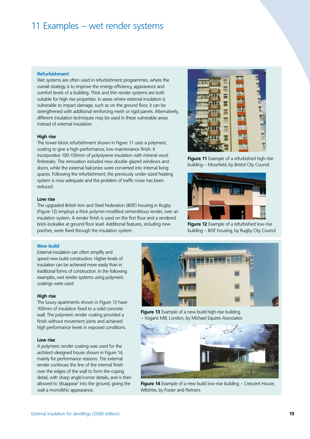## 11 Examples – wet render systems

#### **Refurbishment**

Wet systems are often used in refurbishment programmes, where the overall strategy is to improve the energy efficiency, appearance and comfort levels of a building. Thick and thin render systems are both suitable for high rise properties. In areas where external insulation is vulnerable to impact damage, such as on the ground floor, it can be strengthened with additional reinforcing mesh or rigid panels. Alternatively, different insulation techniques may be used in these vulnerable areas instead of external insulation.

### **High rise**

The tower-block refurbishment shown in Figure 11 uses a polymeric coating to give a high-performance, low-maintenance finish. It incorporates 100-150mm of polystyrene insulation with mineral wool firebreaks. The renovation included new double-glazed windows and doors, while the external balconies were converted into internal living spaces. Following the refurbishment, the previously under-sized heating system is now adequate and the problem of traffic noise has been reduced.

#### **Low rise**

The upgraded British Iron and Steel Federation (BISF) housing in Rugby (Figure 12) employs a thick polymer-modified cementitious render, over an insulation system. A render finish is used on the first floor and a rendered brick-lookalike at ground floor level. Additional features, including new porches, were fixed through the insulation system.

#### **New build**

External insulation can often simplify and speed new build construction. Higher levels of insulation can be achieved more easily than in traditional forms of construction. In the following examples, wet render systems using polymeric coatings were used.

#### **High rise**

The luxury apartments shown in Figure 13 have 100mm of insulation fixed to a solid concrete wall. The polymeric render coating provided a finish without movement joints and achieved high performance levels in exposed conditions.

#### **Low rise**

A polymeric render coating was used for the architect-designed house shown in Figure 14, mainly for performance reasons. The external render continues the line of the internal finish over the edges of the wall to form the coping detail, with sharp angle/corner details, and is then allowed to 'disappear' into the ground, giving the wall a monolithic appearance.



**Figure 11** Example of a refurbished high-rise building – Moorfield, by Bristol City Council



**Figure 12** Example of a refurbished low-rise building – BISF housing, by Rugby City Council



**Figure 13** Example of a new build high-rise building – Vogans Mill, London, by Michael Squires Associates



**Figure 14** Example of a new build low-rise building – Crescent House, Wiltshire, by Foster and Partners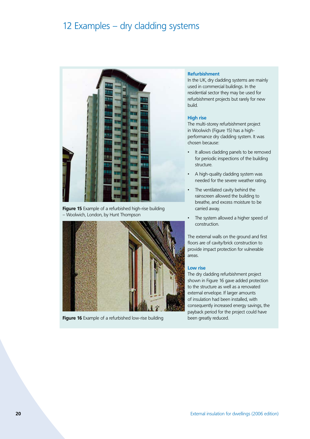## 12 Examples – dry cladding systems



**Figure 15** Example of a refurbished high-rise building – Woolwich, London, by Hunt Thompson



**Figure 16** Example of a refurbished low-rise building

#### **Refurbishment**

In the UK, dry cladding systems are mainly used in commercial buildings. In the residential sector they may be used for refurbishment projects but rarely for new build.

#### **High rise**

The multi-storey refurbishment project in Woolwich (Figure 15) has a highperformance dry cladding system. It was chosen because:

- It allows cladding panels to be removed for periodic inspections of the building structure. •
- A high-quality cladding system was needed for the severe weather rating. •
- The ventilated cavity behind the rainscreen allowed the building to breathe, and excess moisture to be carried away. •
- The system allowed a higher speed of construction. •

The external walls on the ground and first floors are of cavity/brick construction to provide impact protection for vulnerable areas.

#### **Low rise**

The dry cladding refurbishment project shown in Figure 16 gave added protection to the structure as well as a renovated external envelope. If larger amounts of insulation had been installed, with consequently increased energy savings, the payback period for the project could have been greatly reduced.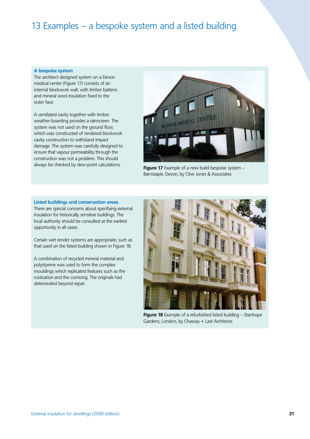# 13 Examples – a bespoke system and a listed building

### **A bespoke system**

The architect-designed system on a Devon medical centre (Figure 17) consists of an internal blockwork wall, with timber battens and mineral wool insulation fixed to the outer face.

A ventilated cavity together with timber weather-boarding provides a rainscreen. The system was not used on the ground floor, which was constructed of rendered blockwork cavity construction to withstand impact damage. The system was carefully designed to ensure that vapour permeability through the construction was not a problem. This should always be checked by dew-point calculations.



**Figure 17** Example of a new build bespoke system – Barnstaple, Devon, by Clive Jones & Associates

**Listed buildings and conservation areas** There are special concerns about specifying external

insulation for historically sensitive buildings. The local authority should be consulted at the earliest opportunity in all cases.

Certain wet render systems are appropriate, such as that used on the listed building shown in Figure 18.

A combination of recycled mineral material and polystyrene was used to form the complex mouldings which replicated features such as the rustication and the cornicing. The originals had deteriorated beyond repair.



**Figure 18** Example of a refurbished listed building – Stanhope Gardens, London, by Chassay + Last Architects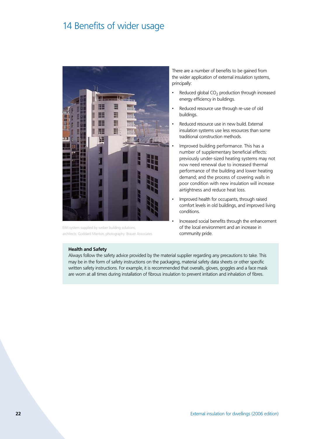## 14 Benefits of wider usage



EWI system supplied by weber building solutions, architects: Goddard Manton, photography: Brauer Associates

There are a number of benefits to be gained from the wider application of external insulation systems, principally:

- Reduced global  $CO<sub>2</sub>$  production through increased energy efficiency in buildings. •
- Reduced resource use through re-use of old buildings.
- Reduced resource use in new build. External insulation systems use less resources than some traditional construction methods.
- Improved building performance. This has a number of supplementary beneficial effects: previously under-sized heating systems may not now need renewal due to increased thermal performance of the building and lower heating demand; and the process of covering walls in poor condition with new insulation will increase airtightness and reduce heat loss.
- Improved health for occupants, through raised comfort levels in old buildings, and improved living conditions. •
	- Increased social benefits through the enhancement of the local environment and an increase in community pride.

### **Health and Safety**

Always follow the safety advice provided by the material supplier regarding any precautions to take. This may be in the form of safety instructions on the packaging, material safety data sheets or other specific written safety instructions. For example, it is recommended that overalls, gloves, goggles and a face mask are worn at all times during installation of fibrous insulation to prevent irritation and inhalation of fibres.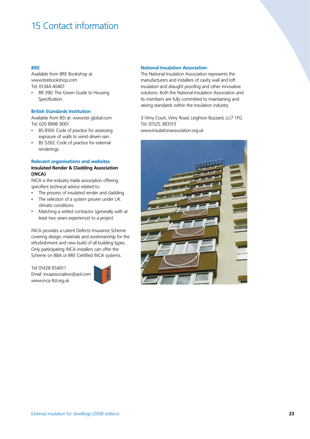# 15 Contact information

## **BRE**

Available from BRE Bookshop at www.brebookshop.com Tel: 01344 40407

BR 390. The Green Guide to Housing Specification. •

## **British Standards Institution**

Available from BSI at: www.bsi-global.com Tel: 020 8996 9001

- BS 8104. Code of practice for assessing exposure of walls to wind-driven rain. •
- BS 5262. Code of practice for external renderings. •

### **Relevant organisations and websites**

## **Insulated Render & Cladding Association (INCA)**

INCA is the industry trade association offering specifiers technical advice related to:

- The process of insulated render and cladding. •
- The selection of a system proven under UK climatic conditions. •
- Matching a vetted contractor (generally with at least two years experience) to a project. •

INCA provides a Latent Defects Insurance Scheme covering design, materials and workmanship for the refurbishment and new build of all building types. Only participating INCA installers can offer the Scheme on BBA or BRE Certified INCA systems.

Tel: 01428 654011 Email: incaassociation@aol.com www.inca-ltd.org.uk



## **National Insulation Association**

The National Insulation Association represents the manufacturers and installers of cavity wall and loft insulation and draught proofing and other innovative solutions. Both the National Insulation Association and its members are fully committed to maintaining and raising standards within the insulation industry.

3 Vimy Court, Vimy Road, Leighton Buzzard, LU7 1FG Tel: 01525 383313 www.insulationassociation.org.uk